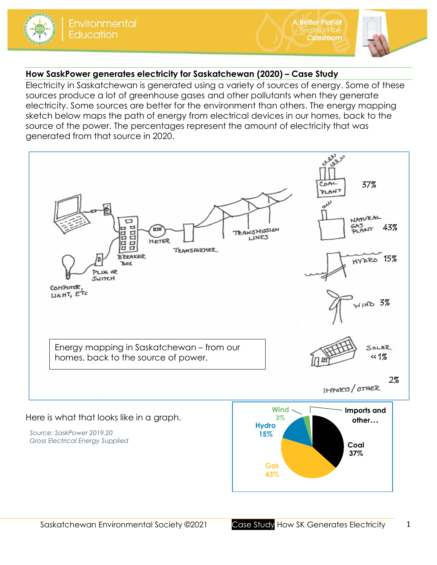

**A Better Planet** 

**Classroom** 

# **How SaskPower generates electricity for Saskatchewan (2020) – Case Study**

Electricity in Saskatchewan is generated using a variety of sources of energy. Some of these sources produce a lot of greenhouse gases and other pollutants when they generate electricity. Some sources are better for the environment than others. The energy mapping sketch below maps the path of energy from electrical devices in our homes, back to the source of the power. The percentages represent the amount of electricity that was generated from that source in 2020.



**Gas 43%**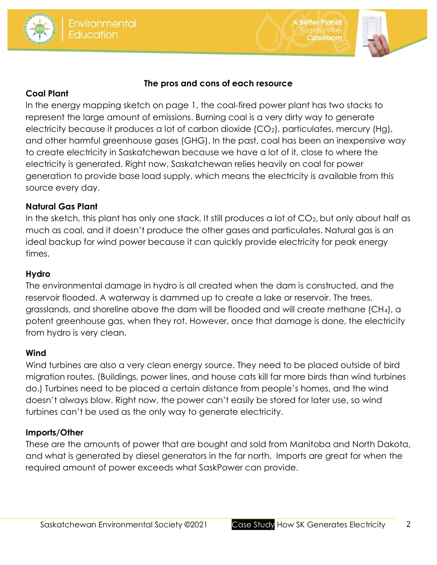



**A Better Planet** 

assroom

### **The pros and cons of each resource**

### **Coal Plant**

In the energy mapping sketch on page 1, the coal-fired power plant has two stacks to represent the large amount of emissions. Burning coal is a very dirty way to generate electricity because it produces a lot of carbon dioxide  $(CO_2)$ , particulates, mercury (Hg), and other harmful greenhouse gases (GHG). In the past, coal has been an inexpensive way to create electricity in Saskatchewan because we have a lot of it, close to where the electricity is generated. Right now, Saskatchewan relies heavily on coal for power generation to provide base load supply, which means the electricity is available from this source every day.

## **Natural Gas Plant**

In the sketch, this plant has only one stack. It still produces a lot of CO<sub>2</sub>, but only about half as much as coal, and it doesn't produce the other gases and particulates. Natural gas is an ideal backup for wind power because it can quickly provide electricity for peak energy times.

## **Hydro**

The environmental damage in hydro is all created when the dam is constructed, and the reservoir flooded. A waterway is dammed up to create a lake or reservoir. The trees, grasslands, and shoreline above the dam will be flooded and will create methane (CH4), a potent greenhouse gas, when they rot. However, once that damage is done, the electricity from hydro is very clean.

#### **Wind**

Wind turbines are also a very clean energy source. They need to be placed outside of bird migration routes. (Buildings, power lines, and house cats kill far more birds than wind turbines do.) Turbines need to be placed a certain distance from people's homes, and the wind doesn't always blow. Right now, the power can't easily be stored for later use, so wind turbines can't be used as the only way to generate electricity.

# **Imports/Other**

These are the amounts of power that are bought and sold from Manitoba and North Dakota, and what is generated by diesel generators in the far north. Imports are great for when the required amount of power exceeds what SaskPower can provide.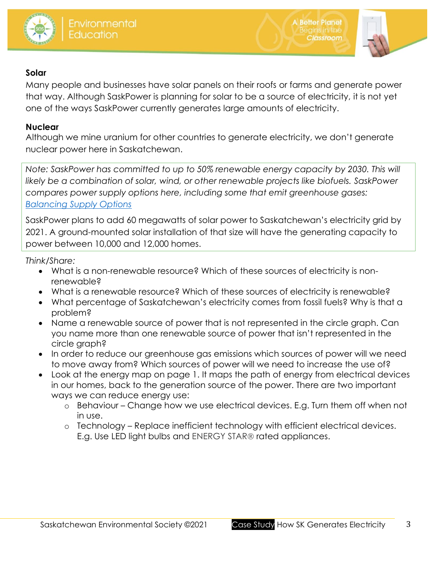



**A Better Planet** 

**Classroom** 

## **Solar**

Many people and businesses have solar panels on their roofs or farms and generate power that way. Although SaskPower is planning for solar to be a source of electricity, it is not yet one of the ways SaskPower currently generates large amounts of electricity.

## **Nuclear**

Although we mine uranium for other countries to generate electricity, we don't generate nuclear power here in Saskatchewan.

*Note: SaskPower has committed to up to 50% renewable energy capacity by 2030. This will likely be a combination of solar, wind, or other renewable projects like biofuels. SaskPower compares power supply options here, including some that emit greenhouse gases: [Balancing Supply Options](https://www.saskpower.com/Our-Power-Future/Our-Electricity/Electrical-System/Balancing-Supply-Options)*

SaskPower plans to add 60 megawatts of solar power to Saskatchewan's electricity grid by 2021. A ground-mounted solar installation of that size will have the generating capacity to power between 10,000 and 12,000 homes.

*Think/Share:*

- What is a non-renewable resource? Which of these sources of electricity is nonrenewable?
- What is a renewable resource? Which of these sources of electricity is renewable?
- What percentage of Saskatchewan's electricity comes from fossil fuels? Why is that a problem?
- Name a renewable source of power that is not represented in the circle graph. Can you name more than one renewable source of power that isn't represented in the circle graph?
- In order to reduce our greenhouse gas emissions which sources of power will we need to move away from? Which sources of power will we need to increase the use of?
- Look at the energy map on page 1. It maps the path of energy from electrical devices in our homes, back to the generation source of the power. There are two important ways we can reduce energy use:
	- o Behaviour Change how we use electrical devices. E.g. Turn them off when not in use.
	- o Technology Replace inefficient technology with efficient electrical devices. E.g. Use LED light bulbs and ENERGY STAR<sup>®</sup> rated appliances.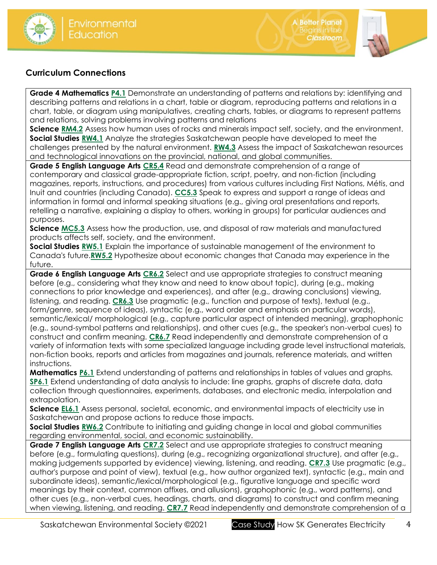





## **Curriculum Connections**

**Grade 4 Mathematics [P4.1](https://www.edonline.sk.ca/webapps/moe-curriculum-BB5f208b6da4613/CurriculumOutcomeContent?id=148&oc=79247)** Demonstrate an understanding of patterns and relations by: identifying and describing patterns and relations in a chart, table or diagram, reproducing patterns and relations in a chart, table, or diagram using manipulatives, creating charts, tables, or diagrams to represent patterns and relations, solving problems involving patterns and relations

**Science [RM4.2](https://www.edonline.sk.ca/webapps/moe-curriculum-BB5f208b6da4613/CurriculumOutcomeContent?id=57&oc=104138)** Assess how human uses of rocks and minerals impact self, society, and the environment. **Social Studies [RW4.1](https://www.edonline.sk.ca/webapps/moe-curriculum-BB5f208b6da4613/CurriculumOutcomeContent?id=167&oc=83656)** Analyze the strategies Saskatchewan people have developed to meet the challenges presented by the natural environment. **[RW4.3](https://www.edonline.sk.ca/webapps/moe-curriculum-BB5f208b6da4613/CurriculumOutcomeContent?id=167&oc=83673)** Assess the impact of Saskatchewan resources and technological innovations on the provincial, national, and global communities.

**Grade 5 English Language Arts [CR5.4](https://www.edonline.sk.ca/webapps/moe-curriculum-BB5f208b6da4613/CurriculumOutcomeContent?id=31&oc=64964)** Read and demonstrate comprehension of a range of contemporary and classical grade-appropriate fiction, script, poetry, and non-fiction (including magazines, reports, instructions, and procedures) from various cultures including First Nations, Métis, and Inuit and countries (including Canada). **[CC5.3](https://www.edonline.sk.ca/webapps/moe-curriculum-BB5f208b6da4613/CurriculumOutcomeContent?id=31&oc=64990)** Speak to express and support a range of ideas and information in formal and informal speaking situations (e.g., giving oral presentations and reports, retelling a narrative, explaining a display to others, working in groups) for particular audiences and purposes.

**Science [MC5.3](https://www.edonline.sk.ca/webapps/moe-curriculum-BB5f208b6da4613/CurriculumOutcomeContent?id=58&oc=24809)** Assess how the production, use, and disposal of raw materials and manufactured products affects self, society, and the environment.

**Social Studies [RW5.1](https://www.edonline.sk.ca/webapps/moe-curriculum-BB5f208b6da4613/CurriculumOutcomeContent?id=168&oc=83738)** Explain the importance of sustainable management of the environment to Canada's future.**[RW5.2](https://www.edonline.sk.ca/webapps/moe-curriculum-BB5f208b6da4613/CurriculumOutcomeContent?id=168&oc=83744)** Hypothesize about economic changes that Canada may experience in the future.

**Grade 6 English Language Arts [CR6.2](https://www.edonline.sk.ca/webapps/moe-curriculum-BB5f208b6da4613/CurriculumOutcomeContent?id=32&oc=73767)** Select and use appropriate strategies to construct meaning before (e.g., considering what they know and need to know about topic), during (e.g., making connections to prior knowledge and experiences), and after (e.g., drawing conclusions) viewing, listening, and reading. **[CR6.3](https://www.edonline.sk.ca/webapps/moe-curriculum-BB5f208b6da4613/CurriculumOutcomeContent?id=32&oc=73772)** Use pragmatic (e.g., function and purpose of texts), textual (e.g., form/genre, sequence of ideas), syntactic (e.g., word order and emphasis on particular words), semantic/lexical/ morphological (e.g., capture particular aspect of intended meaning), graphophonic (e.g., sound-symbol patterns and relationships), and other cues (e.g., the speaker's non-verbal cues) to construct and confirm meaning. **[CR6.7](https://www.edonline.sk.ca/webapps/moe-curriculum-BB5f208b6da4613/CurriculumOutcomeContent?id=32&oc=73805)** Read independently and demonstrate comprehension of a variety of information texts with some specialized language including grade level instructional materials, non-fiction books, reports and articles from magazines and journals, reference materials, and written instructions.

**Mathematics [P6.1](https://www.edonline.sk.ca/webapps/moe-curriculum-BB5f208b6da4613/CurriculumOutcomeContent?id=150&oc=78627)** Extend understanding of patterns and relationships in tables of values and graphs. **[SP6.1](https://www.edonline.sk.ca/webapps/moe-curriculum-BB5f208b6da4613/CurriculumOutcomeContent?id=150&oc=78706)** Extend understanding of data analysis to include: line graphs, graphs of discrete data, data collection through questionnaires, experiments, databases, and electronic media, interpolation and extrapolation.

**Science [EL6.1](https://www.edonline.sk.ca/webapps/moe-curriculum-BB5f208b6da4613/CurriculumOutcomeContent?id=59&oc=69350)** Assess personal, societal, economic, and environmental impacts of electricity use in Saskatchewan and propose actions to reduce those impacts.

**Social Studies [RW6.2](https://www.edonline.sk.ca/webapps/moe-curriculum-BB5f208b6da4613/CurriculumOutcomeContent?id=169&oc=83827)** Contribute to initiating and guiding change in local and global communities regarding environmental, social, and economic sustainability.

**Grade 7 English Language Arts [CR7.2](https://www.edonline.sk.ca/webapps/moe-curriculum-BB5f208b6da4613/CurriculumOutcomeContent?id=33&oc=73958)** Select and use appropriate strategies to construct meaning before (e.g., formulating questions), during (e.g., recognizing organizational structure), and after (e.g., making judgements supported by evidence) viewing, listening, and reading. **[CR7.3](https://www.edonline.sk.ca/webapps/moe-curriculum-BB5f208b6da4613/CurriculumOutcomeContent?id=33&oc=73963)** Use pragmatic (e.g., author's purpose and point of view), textual (e.g., how author organized text), syntactic (e.g., main and subordinate ideas), semantic/lexical/morphological (e.g., figurative language and specific word meanings by their context, common affixes, and allusions), graphophonic (e.g., word patterns), and other cues (e.g., non-verbal cues, headings, charts, and diagrams) to construct and confirm meaning when viewing, listening, and reading. **[CR7.7](https://www.edonline.sk.ca/webapps/moe-curriculum-BB5f208b6da4613/CurriculumOutcomeContent?id=33&oc=74004)** Read independently and demonstrate comprehension of a